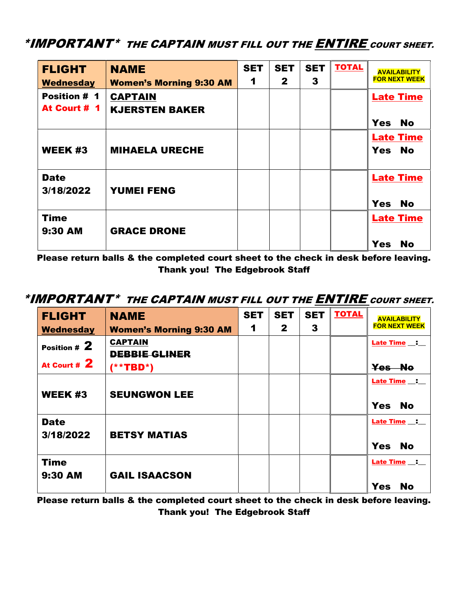## \*IMPORTANT\* THE CAPTAIN MUST FILL OUT THE ENTIRE COURT SHEET.

| <b>FLIGHT</b>            | <b>NAME</b>                    | <b>SET</b>           | <b>SET</b>   | <b>SET</b> | <b>TOTAL</b> | <b>AVAILABILITY</b>     |
|--------------------------|--------------------------------|----------------------|--------------|------------|--------------|-------------------------|
| <b>Wednesday</b>         | <b>Women's Morning 9:30 AM</b> | $\blacktriangleleft$ | $\mathbf{2}$ | 3          |              | <b>FOR NEXT WEEK</b>    |
| <b>Position # 1</b>      | <b>CAPTAIN</b>                 |                      |              |            |              | <b>Late Time</b>        |
| At Court # 1             | <b>KJERSTEN BAKER</b>          |                      |              |            |              |                         |
|                          |                                |                      |              |            |              | <b>No</b><br><b>Yes</b> |
|                          |                                |                      |              |            |              | <b>Late Time</b>        |
| <b>WEEK#3</b>            | <b>MIHAELA URECHE</b>          |                      |              |            |              | Yes No                  |
| <b>Date</b><br>3/18/2022 | <b>YUMEI FENG</b>              |                      |              |            |              | <b>Late Time</b>        |
|                          |                                |                      |              |            |              | <b>No</b><br><b>Yes</b> |
| <b>Time</b>              |                                |                      |              |            |              | <b>Late Time</b>        |
| 9:30 AM                  | <b>GRACE DRONE</b>             |                      |              |            |              |                         |
|                          |                                |                      |              |            |              | <b>No</b><br><b>Yes</b> |

Please return balls & the completed court sheet to the check in desk before leaving. Thank you! The Edgebrook Staff

## \*IMPORTANT\* THE CAPTAIN MUST FILL OUT THE ENTIRE COURT SHEET.

| <b>FLIGHT</b>            | <b>NAME</b>                            | <b>SET</b> | <b>SET</b>   | <b>SET</b> | <b>TOTAL</b> | <b>AVAILABILITY</b>     |
|--------------------------|----------------------------------------|------------|--------------|------------|--------------|-------------------------|
| <b>Wednesday</b>         | <b>Women's Morning 9:30 AM</b>         | 1          | $\mathbf{2}$ | 3          |              | <b>FOR NEXT WEEK</b>    |
| Position $# 2$           | <b>CAPTAIN</b><br><b>DEBBIE GLINER</b> |            |              |            |              |                         |
| At Court # 2             | $(**TBD*)$                             |            |              |            |              | Yes No                  |
| <b>WEEK #3</b>           | <b>SEUNGWON LEE</b>                    |            |              |            |              | <b>Late Time</b> :      |
|                          |                                        |            |              |            |              | <b>Yes</b><br>- No      |
| <b>Date</b><br>3/18/2022 | <b>BETSY MATIAS</b>                    |            |              |            |              |                         |
|                          |                                        |            |              |            |              | <b>Yes</b><br><b>No</b> |
| <b>Time</b>              |                                        |            |              |            |              |                         |
| 9:30 AM                  | <b>GAIL ISAACSON</b>                   |            |              |            |              | <b>Yes</b><br><b>No</b> |

Please return balls & the completed court sheet to the check in desk before leaving. Thank you! The Edgebrook Staff